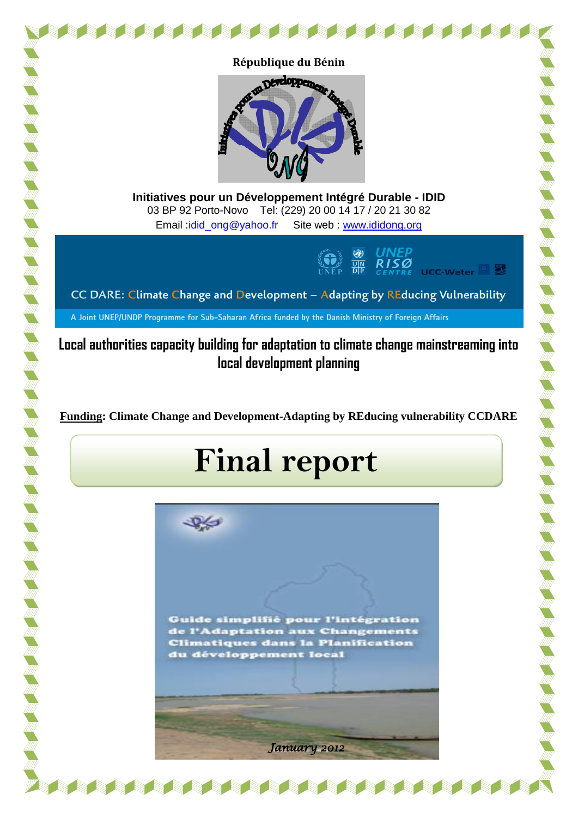



**Initiatives pour un Développement Intégré Durable - IDID** 03 BP 92 Porto-Novo Tel: (229) 20 00 14 17 / 20 21 30 82 Email [:idid\\_ong@yahoo.fr](mailto:idid_ong@yahoo.fr) Site web : [www.ididong.org](http://www.ididong.org/)



CC DARE: Climate Change and Development - Adapting by REducing Vulnerability

A Joint UNEP/UNDP Programme for Sub-Saharan Africa funded by the Danish Ministry of Foreign Affairs

**Local authorities capacity building for adaptation to climate change mainstreaming into local development planning**

**Funding: Climate Change and Development-Adapting by REducing vulnerability CCDARE**

# **Final report**

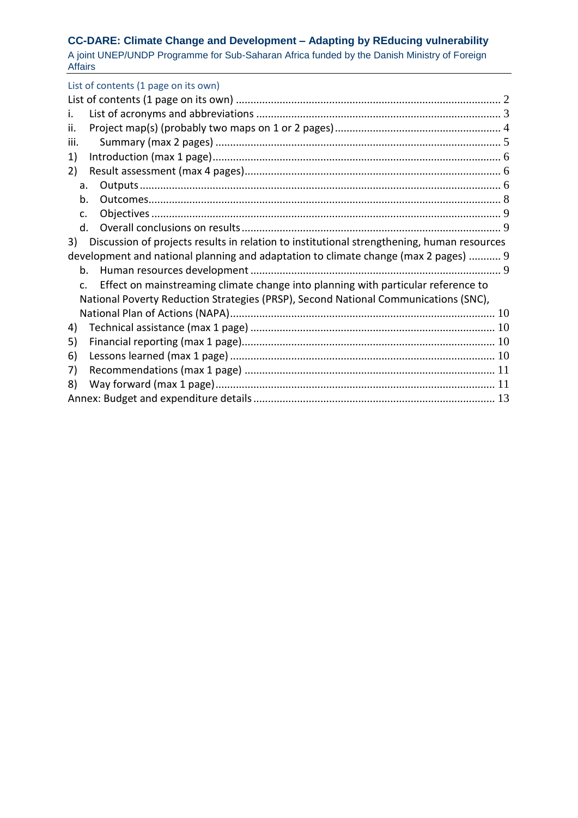# **CC-DARE: Climate Change and Development – Adapting by REducing vulnerability**

A joint UNEP/UNDP Programme for Sub-Saharan Africa funded by the Danish Ministry of Foreign Affairs

<span id="page-1-0"></span>

| List of contents (1 page on its own)                                                                |  |
|-----------------------------------------------------------------------------------------------------|--|
|                                                                                                     |  |
| i.                                                                                                  |  |
| ii.                                                                                                 |  |
| iii.                                                                                                |  |
| 1)                                                                                                  |  |
| 2)                                                                                                  |  |
| a.                                                                                                  |  |
| b.                                                                                                  |  |
| C.                                                                                                  |  |
| $d_{\cdot}$                                                                                         |  |
| Discussion of projects results in relation to institutional strengthening, human resources<br>3)    |  |
| development and national planning and adaptation to climate change (max 2 pages)  9                 |  |
| $h_{\cdot}$                                                                                         |  |
| Effect on mainstreaming climate change into planning with particular reference to<br>$\mathsf{C}$ . |  |
| National Poverty Reduction Strategies (PRSP), Second National Communications (SNC),                 |  |
|                                                                                                     |  |
| 4)                                                                                                  |  |
| 5)                                                                                                  |  |
| 6)                                                                                                  |  |
| 7)                                                                                                  |  |
| 8)                                                                                                  |  |
|                                                                                                     |  |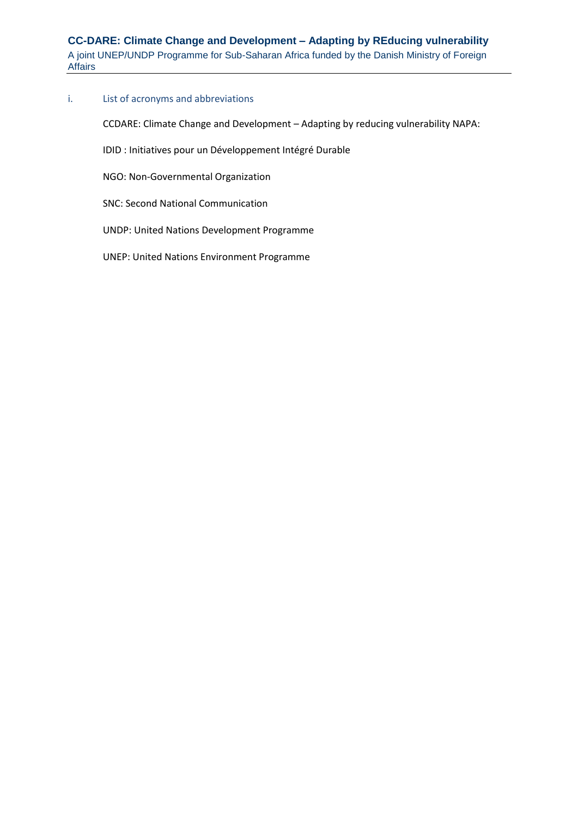## <span id="page-2-0"></span>i. List of acronyms and abbreviations

CCDARE: Climate Change and Development – Adapting by reducing vulnerability NAPA:

IDID : Initiatives pour un Développement Intégré Durable

NGO: Non-Governmental Organization

SNC: Second National Communication

UNDP: United Nations Development Programme

UNEP: United Nations Environment Programme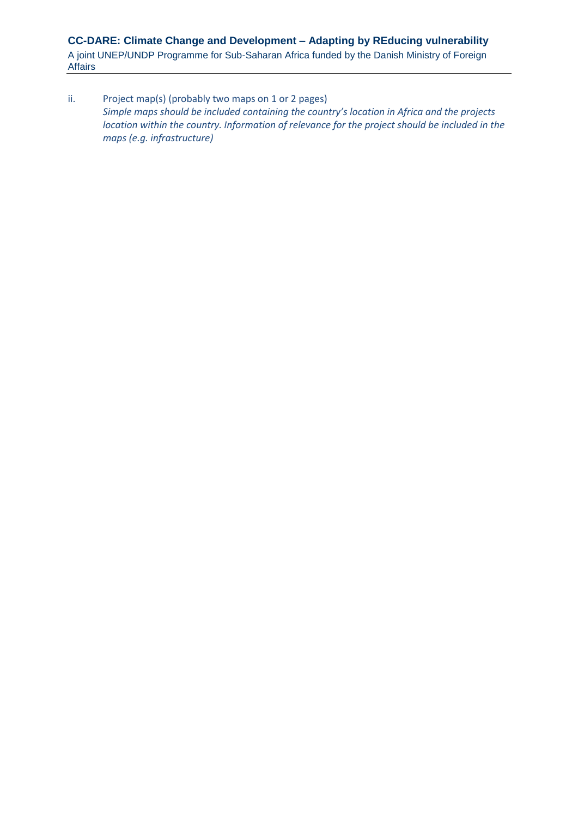<span id="page-3-0"></span>ii. Project map(s) (probably two maps on 1 or 2 pages) *Simple maps should be included containing the country's location in Africa and the projects location within the country. Information of relevance for the project should be included in the maps (e.g. infrastructure)*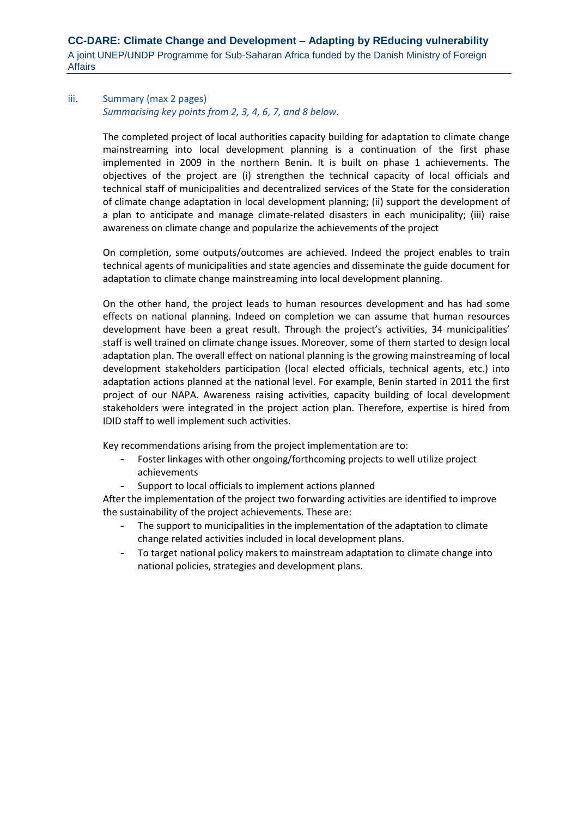# <span id="page-4-0"></span>iii. Summary (max 2 pages) *Summarising key points from 2, 3, 4, 6, 7, and 8 below.*

The completed project of local authorities capacity building for adaptation to climate change mainstreaming into local development planning is a continuation of the first phase implemented in 2009 in the northern Benin. It is built on phase 1 achievements. The objectives of the project are (i) strengthen the technical capacity of local officials and technical staff of municipalities and decentralized services of the State for the consideration of climate change adaptation in local development planning; (ii) support the development of a plan to anticipate and manage climate-related disasters in each municipality; (iii) raise awareness on climate change and popularize the achievements of the project

On completion, some outputs/outcomes are achieved. Indeed the project enables to train technical agents of municipalities and state agencies and disseminate the guide document for adaptation to climate change mainstreaming into local development planning.

On the other hand, the project leads to human resources development and has had some effects on national planning. Indeed on completion we can assume that human resources development have been a great result. Through the project's activities, 34 municipalities' staff is well trained on climate change issues. Moreover, some of them started to design local adaptation plan. The overall effect on national planning is the growing mainstreaming of local development stakeholders participation (local elected officials, technical agents, etc.) into adaptation actions planned at the national level. For example, Benin started in 2011 the first project of our NAPA. Awareness raising activities, capacity building of local development stakeholders were integrated in the project action plan. Therefore, expertise is hired from IDID staff to well implement such activities.

Key recommendations arising from the project implementation are to:

- Foster linkages with other ongoing/forthcoming projects to well utilize project achievements
- Support to local officials to implement actions planned

After the implementation of the project two forwarding activities are identified to improve the sustainability of the project achievements. These are:

- The support to municipalities in the implementation of the adaptation to climate change related activities included in local development plans.
- To target national policy makers to mainstream adaptation to climate change into national policies, strategies and development plans.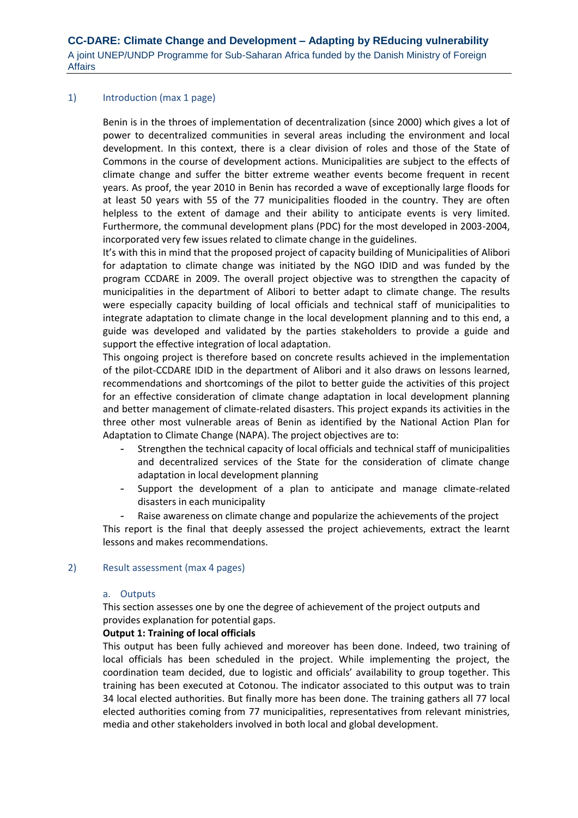## <span id="page-5-0"></span>1) Introduction (max 1 page)

Benin is in the throes of implementation of decentralization (since 2000) which gives a lot of power to decentralized communities in several areas including the environment and local development. In this context, there is a clear division of roles and those of the State of Commons in the course of development actions. Municipalities are subject to the effects of climate change and suffer the bitter extreme weather events become frequent in recent years. As proof, the year 2010 in Benin has recorded a wave of exceptionally large floods for at least 50 years with 55 of the 77 municipalities flooded in the country. They are often helpless to the extent of damage and their ability to anticipate events is very limited. Furthermore, the communal development plans (PDC) for the most developed in 2003-2004, incorporated very few issues related to climate change in the guidelines.

It's with this in mind that the proposed project of capacity building of Municipalities of Alibori for adaptation to climate change was initiated by the NGO IDID and was funded by the program CCDARE in 2009. The overall project objective was to strengthen the capacity of municipalities in the department of Alibori to better adapt to climate change. The results were especially capacity building of local officials and technical staff of municipalities to integrate adaptation to climate change in the local development planning and to this end, a guide was developed and validated by the parties stakeholders to provide a guide and support the effective integration of local adaptation.

This ongoing project is therefore based on concrete results achieved in the implementation of the pilot-CCDARE IDID in the department of Alibori and it also draws on lessons learned, recommendations and shortcomings of the pilot to better guide the activities of this project for an effective consideration of climate change adaptation in local development planning and better management of climate-related disasters. This project expands its activities in the three other most vulnerable areas of Benin as identified by the National Action Plan for Adaptation to Climate Change (NAPA). The project objectives are to:

- Strengthen the technical capacity of local officials and technical staff of municipalities and decentralized services of the State for the consideration of climate change adaptation in local development planning
- Support the development of a plan to anticipate and manage climate-related disasters in each municipality
- Raise awareness on climate change and popularize the achievements of the project

This report is the final that deeply assessed the project achievements, extract the learnt lessons and makes recommendations.

#### <span id="page-5-2"></span><span id="page-5-1"></span>2) Result assessment (max 4 pages)

#### a. Outputs

This section assesses one by one the degree of achievement of the project outputs and provides explanation for potential gaps.

#### **Output 1: Training of local officials**

This output has been fully achieved and moreover has been done. Indeed, two training of local officials has been scheduled in the project. While implementing the project, the coordination team decided, due to logistic and officials' availability to group together. This training has been executed at Cotonou. The indicator associated to this output was to train 34 local elected authorities. But finally more has been done. The training gathers all 77 local elected authorities coming from 77 municipalities, representatives from relevant ministries, media and other stakeholders involved in both local and global development.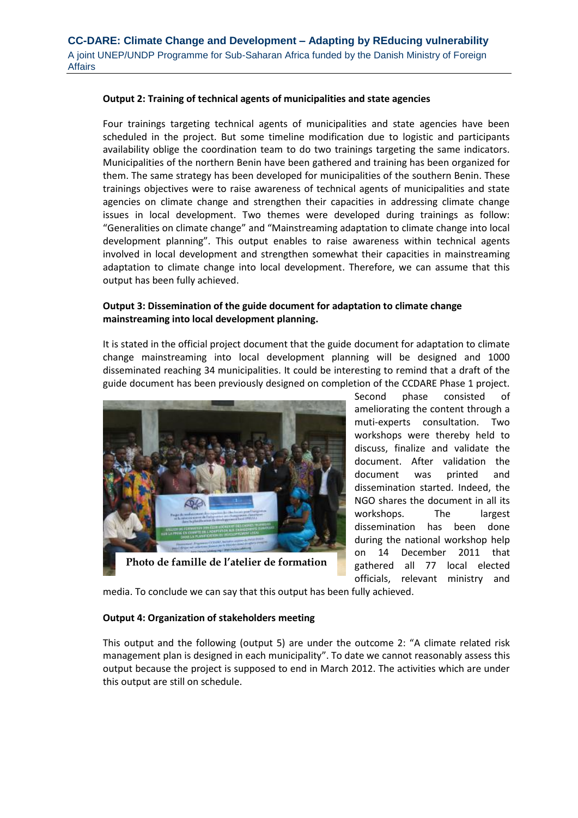## **Output 2: Training of technical agents of municipalities and state agencies**

Four trainings targeting technical agents of municipalities and state agencies have been scheduled in the project. But some timeline modification due to logistic and participants availability oblige the coordination team to do two trainings targeting the same indicators. Municipalities of the northern Benin have been gathered and training has been organized for them. The same strategy has been developed for municipalities of the southern Benin. These trainings objectives were to raise awareness of technical agents of municipalities and state agencies on climate change and strengthen their capacities in addressing climate change issues in local development. Two themes were developed during trainings as follow: "Generalities on climate change" and "Mainstreaming adaptation to climate change into local development planning". This output enables to raise awareness within technical agents involved in local development and strengthen somewhat their capacities in mainstreaming adaptation to climate change into local development. Therefore, we can assume that this output has been fully achieved.

# **Output 3: Dissemination of the guide document for adaptation to climate change mainstreaming into local development planning.**

It is stated in the official project document that the guide document for adaptation to climate change mainstreaming into local development planning will be designed and 1000 disseminated reaching 34 municipalities. It could be interesting to remind that a draft of the guide document has been previously designed on completion of the CCDARE Phase 1 project.



**Photo de famille de l'atelier de formation**

Second phase consisted of ameliorating the content through a muti-experts consultation. Two workshops were thereby held to discuss, finalize and validate the document. After validation the document was printed and dissemination started. Indeed, the NGO shares the document in all its workshops. The largest dissemination has been done during the national workshop help on 14 December 2011 that gathered all 77 local elected officials, relevant ministry and

media. To conclude we can say that this output has been fully achieved.

## **Output 4: Organization of stakeholders meeting**

This output and the following (output 5) are under the outcome 2: "A climate related risk management plan is designed in each municipality". To date we cannot reasonably assess this output because the project is supposed to end in March 2012. The activities which are under this output are still on schedule.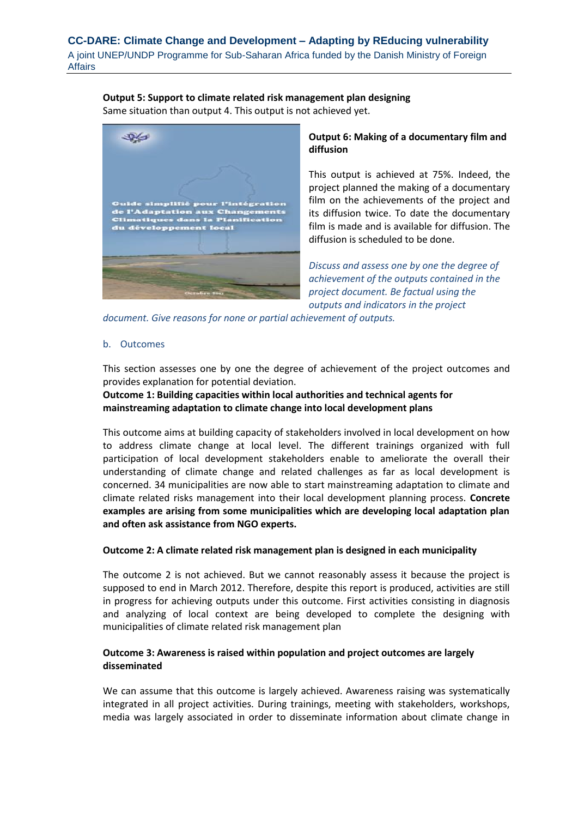## **Output 5: Support to climate related risk management plan designing**

Same situation than output 4. This output is not achieved yet.



# **Output 6: Making of a documentary film and diffusion**

This output is achieved at 75%. Indeed, the project planned the making of a documentary film on the achievements of the project and its diffusion twice. To date the documentary film is made and is available for diffusion. The diffusion is scheduled to be done.

*Discuss and assess one by one the degree of achievement of the outputs contained in the project document. Be factual using the outputs and indicators in the project* 

*document. Give reasons for none or partial achievement of outputs.*

## <span id="page-7-0"></span>b. Outcomes

This section assesses one by one the degree of achievement of the project outcomes and provides explanation for potential deviation.

**Outcome 1: Building capacities within local authorities and technical agents for mainstreaming adaptation to climate change into local development plans**

This outcome aims at building capacity of stakeholders involved in local development on how to address climate change at local level. The different trainings organized with full participation of local development stakeholders enable to ameliorate the overall their understanding of climate change and related challenges as far as local development is concerned. 34 municipalities are now able to start mainstreaming adaptation to climate and climate related risks management into their local development planning process. **Concrete examples are arising from some municipalities which are developing local adaptation plan and often ask assistance from NGO experts.**

## **Outcome 2: A climate related risk management plan is designed in each municipality**

The outcome 2 is not achieved. But we cannot reasonably assess it because the project is supposed to end in March 2012. Therefore, despite this report is produced, activities are still in progress for achieving outputs under this outcome. First activities consisting in diagnosis and analyzing of local context are being developed to complete the designing with municipalities of climate related risk management plan

## **Outcome 3: Awareness is raised within population and project outcomes are largely disseminated**

We can assume that this outcome is largely achieved. Awareness raising was systematically integrated in all project activities. During trainings, meeting with stakeholders, workshops, media was largely associated in order to disseminate information about climate change in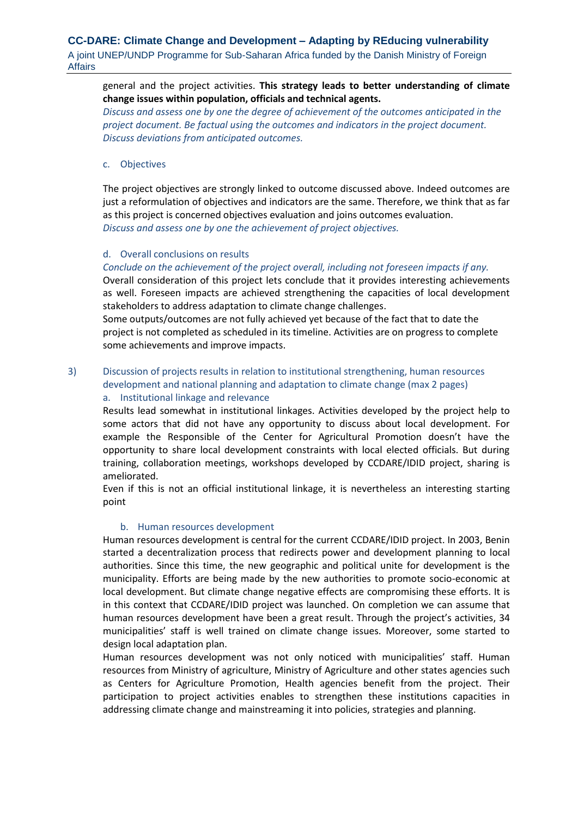# general and the project activities. **This strategy leads to better understanding of climate change issues within population, officials and technical agents.**

*Discuss and assess one by one the degree of achievement of the outcomes anticipated in the project document. Be factual using the outcomes and indicators in the project document. Discuss deviations from anticipated outcomes.*

## <span id="page-8-0"></span>c. Objectives

The project objectives are strongly linked to outcome discussed above. Indeed outcomes are just a reformulation of objectives and indicators are the same. Therefore, we think that as far as this project is concerned objectives evaluation and joins outcomes evaluation. *Discuss and assess one by one the achievement of project objectives.*

## <span id="page-8-1"></span>d. Overall conclusions on results

*Conclude on the achievement of the project overall, including not foreseen impacts if any.* Overall consideration of this project lets conclude that it provides interesting achievements as well. Foreseen impacts are achieved strengthening the capacities of local development stakeholders to address adaptation to climate change challenges.

Some outputs/outcomes are not fully achieved yet because of the fact that to date the project is not completed as scheduled in its timeline. Activities are on progress to complete some achievements and improve impacts.

# <span id="page-8-2"></span>3) Discussion of projects results in relation to institutional strengthening, human resources development and national planning and adaptation to climate change (max 2 pages)

# a. Institutional linkage and relevance

Results lead somewhat in institutional linkages. Activities developed by the project help to some actors that did not have any opportunity to discuss about local development. For example the Responsible of the Center for Agricultural Promotion doesn't have the opportunity to share local development constraints with local elected officials. But during training, collaboration meetings, workshops developed by CCDARE/IDID project, sharing is ameliorated.

Even if this is not an official institutional linkage, it is nevertheless an interesting starting point

## b. Human resources development

<span id="page-8-3"></span>Human resources development is central for the current CCDARE/IDID project. In 2003, Benin started a decentralization process that redirects power and development planning to local authorities. Since this time, the new geographic and political unite for development is the municipality. Efforts are being made by the new authorities to promote socio-economic at local development. But climate change negative effects are compromising these efforts. It is in this context that CCDARE/IDID project was launched. On completion we can assume that human resources development have been a great result. Through the project's activities, 34 municipalities' staff is well trained on climate change issues. Moreover, some started to design local adaptation plan.

Human resources development was not only noticed with municipalities' staff. Human resources from Ministry of agriculture, Ministry of Agriculture and other states agencies such as Centers for Agriculture Promotion, Health agencies benefit from the project. Their participation to project activities enables to strengthen these institutions capacities in addressing climate change and mainstreaming it into policies, strategies and planning.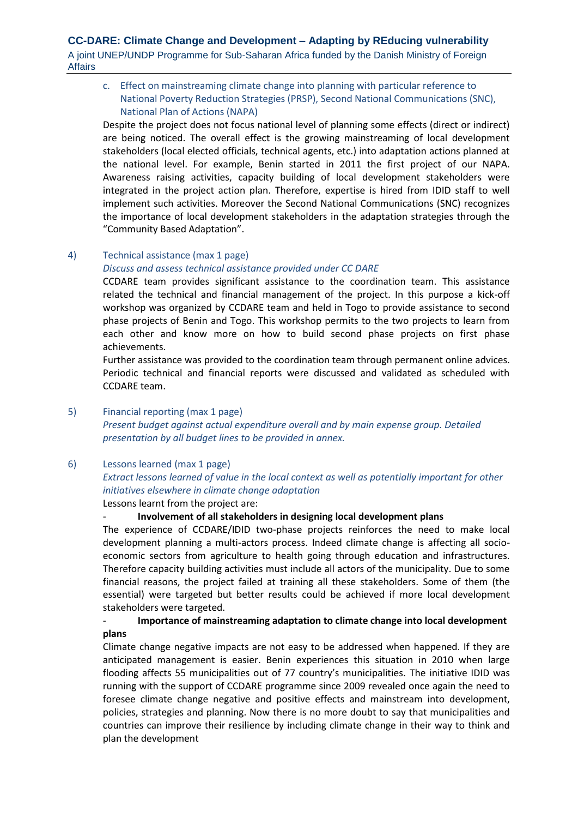# **CC-DARE: Climate Change and Development – Adapting by REducing vulnerability** A joint UNEP/UNDP Programme for Sub-Saharan Africa funded by the Danish Ministry of Foreign Affairs

<span id="page-9-0"></span>c. Effect on mainstreaming climate change into planning with particular reference to National Poverty Reduction Strategies (PRSP), Second National Communications (SNC), National Plan of Actions (NAPA)

Despite the project does not focus national level of planning some effects (direct or indirect) are being noticed. The overall effect is the growing mainstreaming of local development stakeholders (local elected officials, technical agents, etc.) into adaptation actions planned at the national level. For example, Benin started in 2011 the first project of our NAPA. Awareness raising activities, capacity building of local development stakeholders were integrated in the project action plan. Therefore, expertise is hired from IDID staff to well implement such activities. Moreover the Second National Communications (SNC) recognizes the importance of local development stakeholders in the adaptation strategies through the "Community Based Adaptation".

## <span id="page-9-1"></span>4) Technical assistance (max 1 page)

*Discuss and assess technical assistance provided under CC DARE*

CCDARE team provides significant assistance to the coordination team. This assistance related the technical and financial management of the project. In this purpose a kick-off workshop was organized by CCDARE team and held in Togo to provide assistance to second phase projects of Benin and Togo. This workshop permits to the two projects to learn from each other and know more on how to build second phase projects on first phase achievements.

Further assistance was provided to the coordination team through permanent online advices. Periodic technical and financial reports were discussed and validated as scheduled with CCDARE team.

## <span id="page-9-2"></span>5) Financial reporting (max 1 page)

*Present budget against actual expenditure overall and by main expense group. Detailed presentation by all budget lines to be provided in annex.*

## <span id="page-9-3"></span>6) Lessons learned (max 1 page)

*Extract lessons learned of value in the local context as well as potentially important for other initiatives elsewhere in climate change adaptation*

Lessons learnt from the project are:

# - **Involvement of all stakeholders in designing local development plans**

The experience of CCDARE/IDID two-phase projects reinforces the need to make local development planning a multi-actors process. Indeed climate change is affecting all socioeconomic sectors from agriculture to health going through education and infrastructures. Therefore capacity building activities must include all actors of the municipality. Due to some financial reasons, the project failed at training all these stakeholders. Some of them (the essential) were targeted but better results could be achieved if more local development stakeholders were targeted.

# - **Importance of mainstreaming adaptation to climate change into local development plans**

Climate change negative impacts are not easy to be addressed when happened. If they are anticipated management is easier. Benin experiences this situation in 2010 when large flooding affects 55 municipalities out of 77 country's municipalities. The initiative IDID was running with the support of CCDARE programme since 2009 revealed once again the need to foresee climate change negative and positive effects and mainstream into development, policies, strategies and planning. Now there is no more doubt to say that municipalities and countries can improve their resilience by including climate change in their way to think and plan the development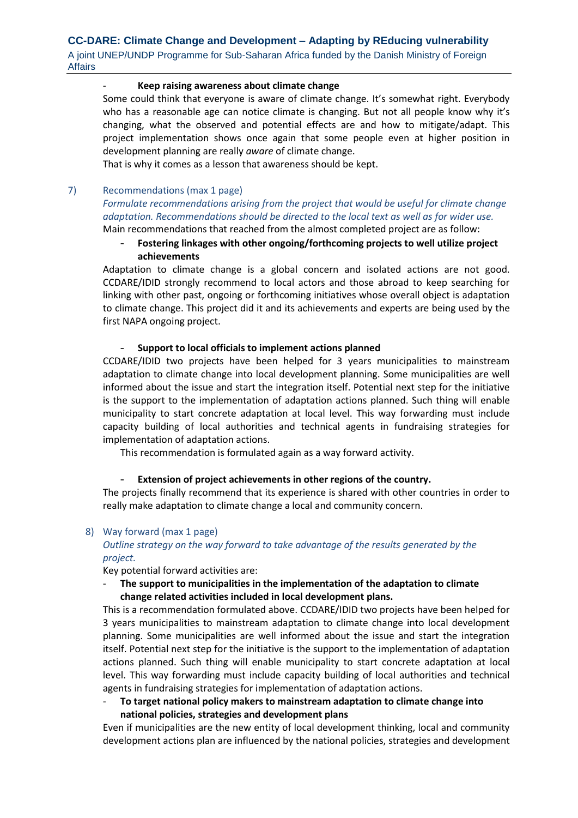## - **Keep raising awareness about climate change**

Some could think that everyone is aware of climate change. It's somewhat right. Everybody who has a reasonable age can notice climate is changing. But not all people know why it's changing, what the observed and potential effects are and how to mitigate/adapt. This project implementation shows once again that some people even at higher position in development planning are really *aware* of climate change.

That is why it comes as a lesson that awareness should be kept.

## <span id="page-10-0"></span>7) Recommendations (max 1 page)

*Formulate recommendations arising from the project that would be useful for climate change adaptation. Recommendations should be directed to the local text as well as for wider use.* 

Main recommendations that reached from the almost completed project are as follow:

- **Fostering linkages with other ongoing/forthcoming projects to well utilize project achievements**

Adaptation to climate change is a global concern and isolated actions are not good. CCDARE/IDID strongly recommend to local actors and those abroad to keep searching for linking with other past, ongoing or forthcoming initiatives whose overall object is adaptation to climate change. This project did it and its achievements and experts are being used by the first NAPA ongoing project.

## - **Support to local officials to implement actions planned**

CCDARE/IDID two projects have been helped for 3 years municipalities to mainstream adaptation to climate change into local development planning. Some municipalities are well informed about the issue and start the integration itself. Potential next step for the initiative is the support to the implementation of adaptation actions planned. Such thing will enable municipality to start concrete adaptation at local level. This way forwarding must include capacity building of local authorities and technical agents in fundraising strategies for implementation of adaptation actions.

This recommendation is formulated again as a way forward activity.

## Extension of project achievements in other regions of the country.

The projects finally recommend that its experience is shared with other countries in order to really make adaptation to climate change a local and community concern.

## <span id="page-10-1"></span>8) Way forward (max 1 page)

## *Outline strategy on the way forward to take advantage of the results generated by the project.*

Key potential forward activities are:

The support to municipalities in the implementation of the adaptation to climate **change related activities included in local development plans.**

This is a recommendation formulated above. CCDARE/IDID two projects have been helped for 3 years municipalities to mainstream adaptation to climate change into local development planning. Some municipalities are well informed about the issue and start the integration itself. Potential next step for the initiative is the support to the implementation of adaptation actions planned. Such thing will enable municipality to start concrete adaptation at local level. This way forwarding must include capacity building of local authorities and technical agents in fundraising strategies for implementation of adaptation actions.

- **To target national policy makers to mainstream adaptation to climate change into national policies, strategies and development plans**

Even if municipalities are the new entity of local development thinking, local and community development actions plan are influenced by the national policies, strategies and development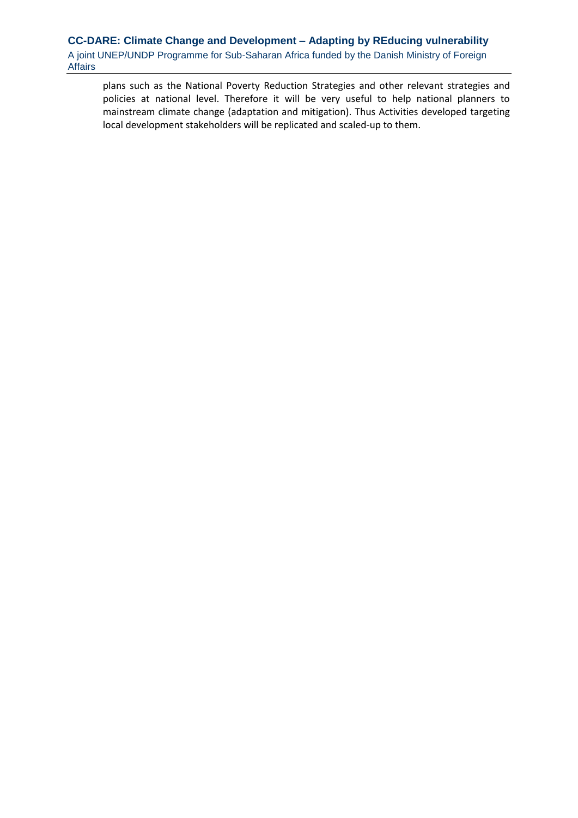plans such as the National Poverty Reduction Strategies and other relevant strategies and policies at national level. Therefore it will be very useful to help national planners to mainstream climate change (adaptation and mitigation). Thus Activities developed targeting local development stakeholders will be replicated and scaled-up to them.